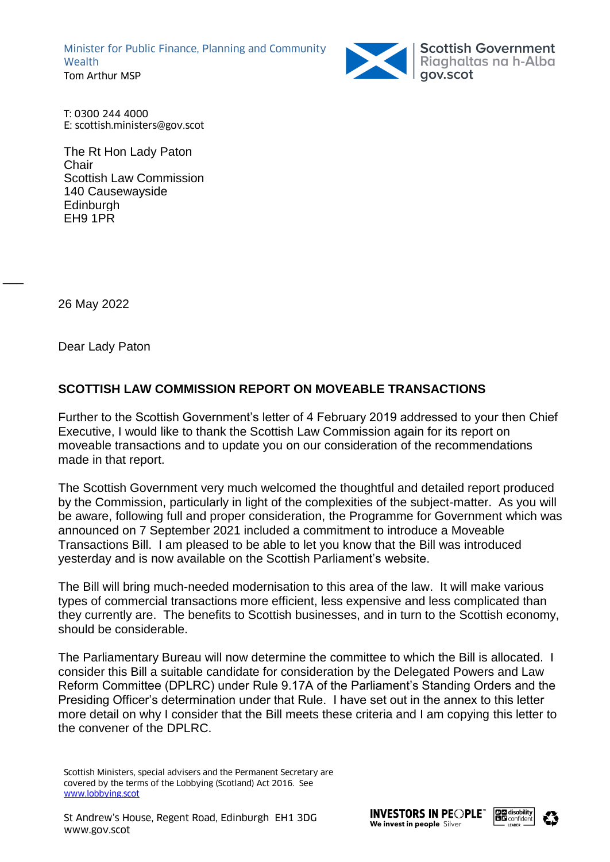Minister for Public Finance, Planning and Community **Wealth** Tom Arthur MSP



Scottish Government<br>Riaghaltas na h-Alba<br>gov.scot

T: 0300 244 4000 E: scottish.ministers@gov.scot

The Rt Hon Lady Paton Chair Scottish Law Commission 140 Causewayside **Edinburgh** EH9 1PR

26 May 2022

 $\overline{\phantom{a}}$ 

Dear Lady Paton

# **SCOTTISH LAW COMMISSION REPORT ON MOVEABLE TRANSACTIONS**

Further to the Scottish Government's letter of 4 February 2019 addressed to your then Chief Executive, I would like to thank the Scottish Law Commission again for its report on moveable transactions and to update you on our consideration of the recommendations made in that report.

The Scottish Government very much welcomed the thoughtful and detailed report produced by the Commission, particularly in light of the complexities of the subject-matter. As you will be aware, following full and proper consideration, the Programme for Government which was announced on 7 September 2021 included a commitment to introduce a Moveable Transactions Bill. I am pleased to be able to let you know that the Bill was introduced yesterday and is now available on the Scottish Parliament's website.

The Bill will bring much-needed modernisation to this area of the law. It will make various types of commercial transactions more efficient, less expensive and less complicated than they currently are. The benefits to Scottish businesses, and in turn to the Scottish economy, should be considerable.

The Parliamentary Bureau will now determine the committee to which the Bill is allocated. I consider this Bill a suitable candidate for consideration by the Delegated Powers and Law Reform Committee (DPLRC) under Rule 9.17A of the Parliament's Standing Orders and the Presiding Officer's determination under that Rule. I have set out in the annex to this letter more detail on why I consider that the Bill meets these criteria and I am copying this letter to the convener of the DPLRC.

Scottish Ministers, special advisers and the Permanent Secretary are covered by the terms of the Lobbying (Scotland) Act 2016. See [www.lobbying.scot](http://www.lobbying.scot/)



 $\overline{a}$ 

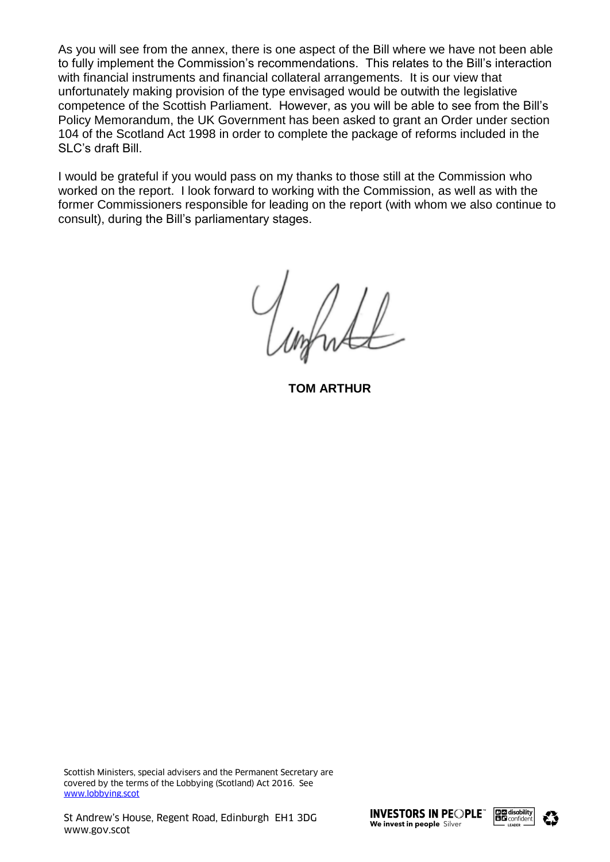As you will see from the annex, there is one aspect of the Bill where we have not been able to fully implement the Commission's recommendations. This relates to the Bill's interaction with financial instruments and financial collateral arrangements. It is our view that unfortunately making provision of the type envisaged would be outwith the legislative competence of the Scottish Parliament. However, as you will be able to see from the Bill's Policy Memorandum, the UK Government has been asked to grant an Order under section 104 of the Scotland Act 1998 in order to complete the package of reforms included in the SLC's draft Bill.

I would be grateful if you would pass on my thanks to those still at the Commission who worked on the report. I look forward to working with the Commission, as well as with the former Commissioners responsible for leading on the report (with whom we also continue to consult), during the Bill's parliamentary stages.

Unhalt

**TOM ARTHUR**

Scottish Ministers, special advisers and the Permanent Secretary are covered by the terms of the Lobbying (Scotland) Act 2016. See [www.lobbying.scot](http://www.lobbying.scot/)



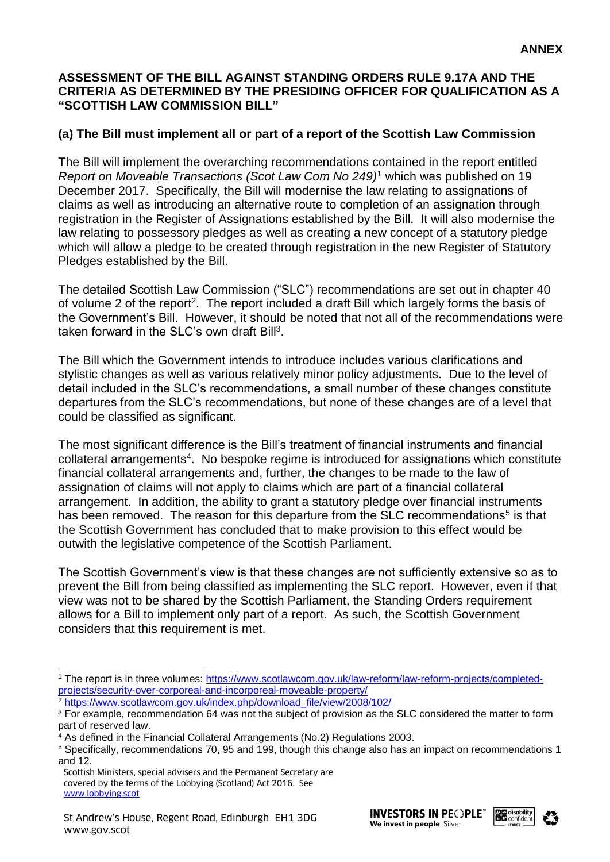### **ASSESSMENT OF THE BILL AGAINST STANDING ORDERS RULE 9.17A AND THE CRITERIA AS DETERMINED BY THE PRESIDING OFFICER FOR QUALIFICATION AS A "SCOTTISH LAW COMMISSION BILL"**

### **(a) The Bill must implement all or part of a report of the Scottish Law Commission**

The Bill will implement the overarching recommendations contained in the report entitled *Report on Moveable Transactions (Scot Law Com No 249)*<sup>1</sup> which was published on 19 December 2017. Specifically, the Bill will modernise the law relating to assignations of claims as well as introducing an alternative route to completion of an assignation through registration in the Register of Assignations established by the Bill. It will also modernise the law relating to possessory pledges as well as creating a new concept of a statutory pledge which will allow a pledge to be created through registration in the new Register of Statutory Pledges established by the Bill.

The detailed Scottish Law Commission ("SLC") recommendations are set out in chapter 40 of volume 2 of the report<sup>2</sup>. The report included a draft Bill which largely forms the basis of the Government's Bill. However, it should be noted that not all of the recommendations were taken forward in the SLC's own draft Bill<sup>3</sup>.

The Bill which the Government intends to introduce includes various clarifications and stylistic changes as well as various relatively minor policy adjustments. Due to the level of detail included in the SLC's recommendations, a small number of these changes constitute departures from the SLC's recommendations, but none of these changes are of a level that could be classified as significant.

The most significant difference is the Bill's treatment of financial instruments and financial collateral arrangements<sup>4</sup>. No bespoke regime is introduced for assignations which constitute financial collateral arrangements and, further, the changes to be made to the law of assignation of claims will not apply to claims which are part of a financial collateral arrangement. In addition, the ability to grant a statutory pledge over financial instruments has been removed. The reason for this departure from the SLC recommendations<sup>5</sup> is that the Scottish Government has concluded that to make provision to this effect would be outwith the legislative competence of the Scottish Parliament.

The Scottish Government's view is that these changes are not sufficiently extensive so as to prevent the Bill from being classified as implementing the SLC report. However, even if that view was not to be shared by the Scottish Parliament, the Standing Orders requirement allows for a Bill to implement only part of a report. As such, the Scottish Government considers that this requirement is met.

l



 $\overline{a}$ 



<sup>&</sup>lt;sup>1</sup> The report is in three volumes: [https://www.scotlawcom.gov.uk/law-reform/law-reform-projects/completed](https://www.scotlawcom.gov.uk/law-reform/law-reform-projects/completed-projects/security-over-corporeal-and-incorporeal-moveable-property/)[projects/security-over-corporeal-and-incorporeal-moveable-property/](https://www.scotlawcom.gov.uk/law-reform/law-reform-projects/completed-projects/security-over-corporeal-and-incorporeal-moveable-property/)

<sup>2</sup> [https://www.scotlawcom.gov.uk/index.php/download\\_file/view/2008/102/](https://www.scotlawcom.gov.uk/index.php/download_file/view/2008/102/)

<sup>&</sup>lt;sup>3</sup> For example, recommendation 64 was not the subject of provision as the SLC considered the matter to form part of reserved law.

<sup>&</sup>lt;sup>4</sup> As defined in the Financial Collateral Arrangements (No.2) Regulations 2003.

<sup>5</sup> Specifically, recommendations 70, 95 and 199, though this change also has an impact on recommendations 1 and 12.

Scottish Ministers, special advisers and the Permanent Secretary are covered by the terms of the Lobbying (Scotland) Act 2016. See [www.lobbying.scot](http://www.lobbying.scot/)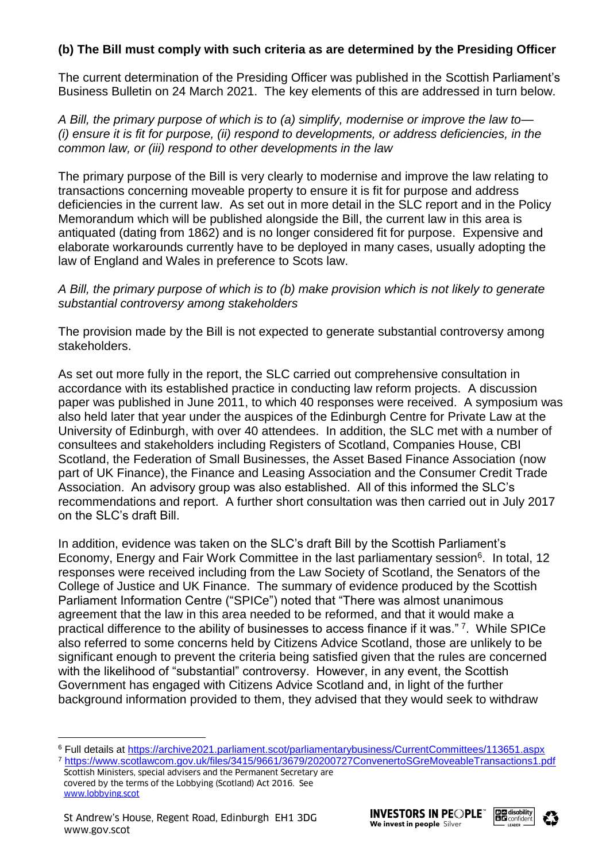# **(b) The Bill must comply with such criteria as are determined by the Presiding Officer**

The current determination of the Presiding Officer was published in the Scottish Parliament's Business Bulletin on 24 March 2021. The key elements of this are addressed in turn below.

*A Bill, the primary purpose of which is to (a) simplify, modernise or improve the law to— (i) ensure it is fit for purpose, (ii) respond to developments, or address deficiencies, in the common law, or (iii) respond to other developments in the law*

The primary purpose of the Bill is very clearly to modernise and improve the law relating to transactions concerning moveable property to ensure it is fit for purpose and address deficiencies in the current law. As set out in more detail in the SLC report and in the Policy Memorandum which will be published alongside the Bill, the current law in this area is antiquated (dating from 1862) and is no longer considered fit for purpose. Expensive and elaborate workarounds currently have to be deployed in many cases, usually adopting the law of England and Wales in preference to Scots law.

#### *A Bill, the primary purpose of which is to (b) make provision which is not likely to generate substantial controversy among stakeholders*

The provision made by the Bill is not expected to generate substantial controversy among stakeholders.

As set out more fully in the report, the SLC carried out comprehensive consultation in accordance with its established practice in conducting law reform projects. A discussion paper was published in June 2011, to which 40 responses were received. A symposium was also held later that year under the auspices of the Edinburgh Centre for Private Law at the University of Edinburgh, with over 40 attendees. In addition, the SLC met with a number of consultees and stakeholders including Registers of Scotland, Companies House, CBI Scotland, the Federation of Small Businesses, the Asset Based Finance Association (now part of UK Finance), the Finance and Leasing Association and the Consumer Credit Trade Association. An advisory group was also established. All of this informed the SLC's recommendations and report. A further short consultation was then carried out in July 2017 on the SLC's draft Bill.

In addition, evidence was taken on the SLC's draft Bill by the Scottish Parliament's Economy, Energy and Fair Work Committee in the last parliamentary session<sup>6</sup>. In total, 12 responses were received including from the Law Society of Scotland, the Senators of the College of Justice and UK Finance. The summary of evidence produced by the Scottish Parliament Information Centre ("SPICe") noted that "There was almost unanimous agreement that the law in this area needed to be reformed, and that it would make a practical difference to the ability of businesses to access finance if it was."<sup>7</sup>. While SPICe also referred to some concerns held by Citizens Advice Scotland, those are unlikely to be significant enough to prevent the criteria being satisfied given that the rules are concerned with the likelihood of "substantial" controversy. However, in any event, the Scottish Government has engaged with Citizens Advice Scotland and, in light of the further background information provided to them, they advised that they would seek to withdraw

l





<sup>6</sup> Full details at<https://archive2021.parliament.scot/parliamentarybusiness/CurrentCommittees/113651.aspx> <sup>7</sup> <https://www.scotlawcom.gov.uk/files/3415/9661/3679/20200727ConvenertoSGreMoveableTransactions1.pdf>

Scottish Ministers, special advisers and the Permanent Secretary are covered by the terms of the Lobbying (Scotland) Act 2016. See [www.lobbying.scot](http://www.lobbying.scot/)